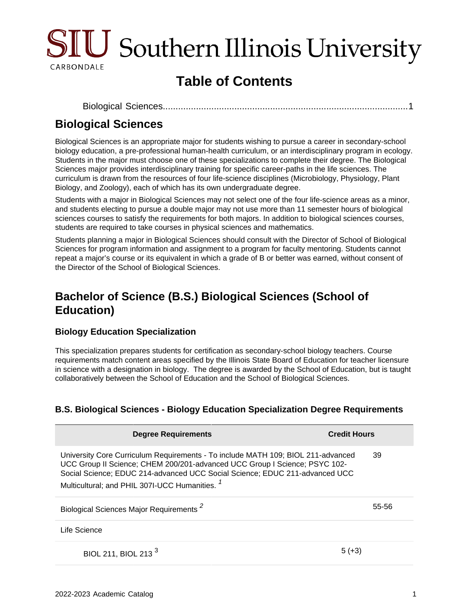

# **Table of Contents**

```
Biological Sciences................................................................................................1
```
### <span id="page-0-0"></span>**Biological Sciences**

Biological Sciences is an appropriate major for students wishing to pursue a career in secondary-school biology education, a pre-professional human-health curriculum, or an interdisciplinary program in ecology. Students in the major must choose one of these specializations to complete their degree. The Biological Sciences major provides interdisciplinary training for specific career-paths in the life sciences. The curriculum is drawn from the resources of four life-science disciplines (Microbiology, Physiology, Plant Biology, and Zoology), each of which has its own undergraduate degree.

Students with a major in Biological Sciences may not select one of the four life-science areas as a minor, and students electing to pursue a double major may not use more than 11 semester hours of biological sciences courses to satisfy the requirements for both majors. In addition to biological sciences courses, students are required to take courses in physical sciences and mathematics.

Students planning a major in Biological Sciences should consult with the Director of School of Biological Sciences for program information and assignment to a program for faculty mentoring. Students cannot repeat a major's course or its equivalent in which a grade of B or better was earned, without consent of the Director of the School of Biological Sciences.

## **Bachelor of Science (B.S.) Biological Sciences (School of Education)**

#### **Biology Education Specialization**

This specialization prepares students for certification as secondary-school biology teachers. Course requirements match content areas specified by the Illinois State Board of Education for teacher licensure in science with a designation in biology. The degree is awarded by the School of Education, but is taught collaboratively between the School of Education and the School of Biological Sciences.

#### **B.S. Biological Sciences - Biology Education Specialization Degree Requirements**

| <b>Degree Requirements</b>                                                                                                                                                                                                                                                                                 | <b>Credit Hours</b> |
|------------------------------------------------------------------------------------------------------------------------------------------------------------------------------------------------------------------------------------------------------------------------------------------------------------|---------------------|
| University Core Curriculum Requirements - To include MATH 109; BIOL 211-advanced<br>UCC Group II Science; CHEM 200/201-advanced UCC Group I Science; PSYC 102-<br>Social Science; EDUC 214-advanced UCC Social Science; EDUC 211-advanced UCC<br>Multicultural; and PHIL 307I-UCC Humanities. <sup>1</sup> | 39                  |
| Biological Sciences Major Requirements <sup>2</sup>                                                                                                                                                                                                                                                        | 55-56               |
| Life Science                                                                                                                                                                                                                                                                                               |                     |
| BIOL 211, BIOL 213 <sup>3</sup>                                                                                                                                                                                                                                                                            | 5 (+3               |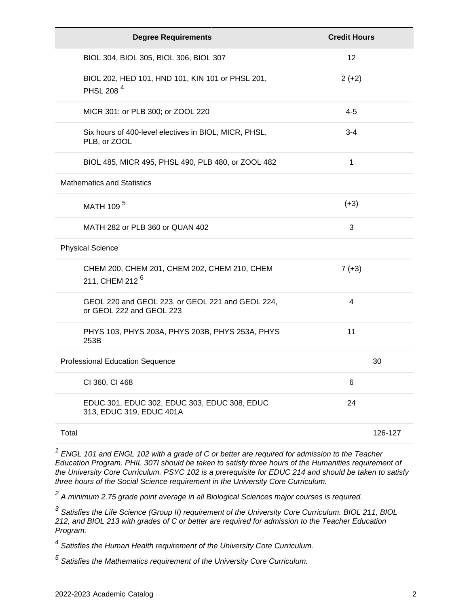| <b>Degree Requirements</b>                                                   | <b>Credit Hours</b> |
|------------------------------------------------------------------------------|---------------------|
| BIOL 304, BIOL 305, BIOL 306, BIOL 307                                       | 12                  |
| BIOL 202, HED 101, HND 101, KIN 101 or PHSL 201,<br>PHSL 208 <sup>4</sup>    | $2 (+2)$            |
| MICR 301; or PLB 300; or ZOOL 220                                            | $4 - 5$             |
| Six hours of 400-level electives in BIOL, MICR, PHSL,<br>PLB, or ZOOL        | $3 - 4$             |
| BIOL 485, MICR 495, PHSL 490, PLB 480, or ZOOL 482                           | 1                   |
| <b>Mathematics and Statistics</b>                                            |                     |
| MATH 109 <sup>5</sup>                                                        | $(+3)$              |
| MATH 282 or PLB 360 or QUAN 402                                              | 3                   |
| <b>Physical Science</b>                                                      |                     |
| CHEM 200, CHEM 201, CHEM 202, CHEM 210, CHEM<br>211, CHEM 212 <sup>6</sup>   | $7 (+3)$            |
| GEOL 220 and GEOL 223, or GEOL 221 and GEOL 224,<br>or GEOL 222 and GEOL 223 | 4                   |
| PHYS 103, PHYS 203A, PHYS 203B, PHYS 253A, PHYS<br>253B                      | 11                  |
| <b>Professional Education Sequence</b>                                       | 30                  |
| CI 360, CI 468                                                               | 6                   |
| EDUC 301, EDUC 302, EDUC 303, EDUC 308, EDUC<br>313, EDUC 319, EDUC 401A     | 24                  |
| Total                                                                        | 126-127             |

 $1$  ENGL 101 and ENGL 102 with a grade of C or better are required for admission to the Teacher Education Program. PHIL 307I should be taken to satisfy three hours of the Humanities requirement of the University Core Curriculum. PSYC 102 is a prerequisite for EDUC 214 and should be taken to satisfy three hours of the Social Science requirement in the University Core Curriculum.

 $^2$  A minimum 2.75 grade point average in all Biological Sciences major courses is required.

<sup>3</sup> Satisfies the Life Science (Group II) requirement of the University Core Curriculum. BIOL 211, BIOL 212, and BIOL 213 with grades of C or better are required for admission to the Teacher Education Program.

<sup>4</sup> Satisfies the Human Health requirement of the University Core Curriculum.

 $<sup>5</sup>$  Satisfies the Mathematics requirement of the University Core Curriculum.</sup>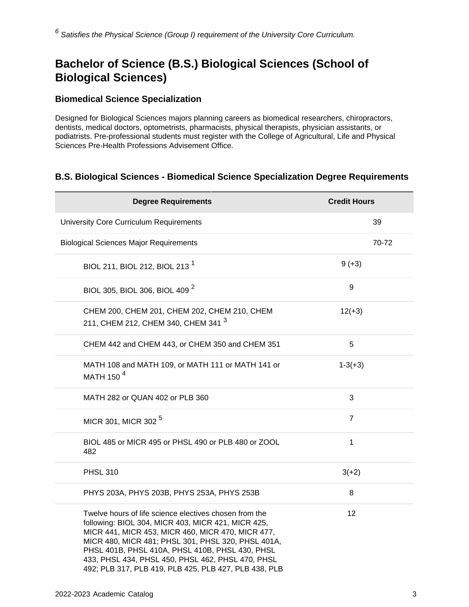## **Bachelor of Science (B.S.) Biological Sciences (School of Biological Sciences)**

#### **Biomedical Science Specialization**

Designed for Biological Sciences majors planning careers as biomedical researchers, chiropractors, dentists, medical doctors, optometrists, pharmacists, physical therapists, physician assistants, or podiatrists. Pre-professional students must register with the College of Agricultural, Life and Physical Sciences Pre-Health Professions Advisement Office.

#### **B.S. Biological Sciences - Biomedical Science Specialization Degree Requirements**

| <b>Degree Requirements</b>                                                                                                                                                                                                                                                                                                                                                               | <b>Credit Hours</b> |
|------------------------------------------------------------------------------------------------------------------------------------------------------------------------------------------------------------------------------------------------------------------------------------------------------------------------------------------------------------------------------------------|---------------------|
| <b>University Core Curriculum Requirements</b>                                                                                                                                                                                                                                                                                                                                           | 39                  |
| <b>Biological Sciences Major Requirements</b>                                                                                                                                                                                                                                                                                                                                            | 70-72               |
| BIOL 211, BIOL 212, BIOL 213 <sup>1</sup>                                                                                                                                                                                                                                                                                                                                                | $9 (+3)$            |
| BIOL 305, BIOL 306, BIOL 409 <sup>2</sup>                                                                                                                                                                                                                                                                                                                                                | 9                   |
| CHEM 200, CHEM 201, CHEM 202, CHEM 210, CHEM<br>211, CHEM 212, CHEM 340, CHEM 341 <sup>3</sup>                                                                                                                                                                                                                                                                                           | $12(+3)$            |
| CHEM 442 and CHEM 443, or CHEM 350 and CHEM 351                                                                                                                                                                                                                                                                                                                                          | 5                   |
| MATH 108 and MATH 109, or MATH 111 or MATH 141 or<br>MATH 150 <sup>4</sup>                                                                                                                                                                                                                                                                                                               | $1-3(+3)$           |
| MATH 282 or QUAN 402 or PLB 360                                                                                                                                                                                                                                                                                                                                                          | 3                   |
| MICR 301, MICR 302 <sup>5</sup>                                                                                                                                                                                                                                                                                                                                                          | $\overline{7}$      |
| BIOL 485 or MICR 495 or PHSL 490 or PLB 480 or ZOOL<br>482                                                                                                                                                                                                                                                                                                                               | 1                   |
| <b>PHSL 310</b>                                                                                                                                                                                                                                                                                                                                                                          | $3(+2)$             |
| PHYS 203A, PHYS 203B, PHYS 253A, PHYS 253B                                                                                                                                                                                                                                                                                                                                               | 8                   |
| Twelve hours of life science electives chosen from the<br>following: BIOL 304, MICR 403, MICR 421, MICR 425,<br>MICR 441, MICR 453, MICR 460, MICR 470, MICR 477,<br>MICR 480, MICR 481; PHSL 301, PHSL 320, PHSL 401A,<br>PHSL 401B, PHSL 410A, PHSL 410B, PHSL 430, PHSL<br>433, PHSL 434, PHSL 450, PHSL 462, PHSL 470, PHSL<br>492; PLB 317, PLB 419, PLB 425, PLB 427, PLB 438, PLB | 12                  |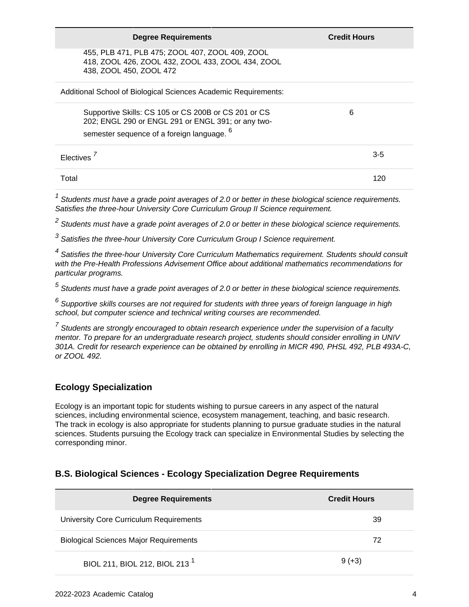| <b>Degree Requirements</b>                                                                                                                                          | <b>Credit Hours</b> |
|---------------------------------------------------------------------------------------------------------------------------------------------------------------------|---------------------|
| 455, PLB 471, PLB 475; ZOOL 407, ZOOL 409, ZOOL<br>418, ZOOL 426, ZOOL 432, ZOOL 433, ZOOL 434, ZOOL<br>438, ZOOL 450, ZOOL 472                                     |                     |
| Additional School of Biological Sciences Academic Requirements:                                                                                                     |                     |
| Supportive Skills: CS 105 or CS 200B or CS 201 or CS<br>202; ENGL 290 or ENGL 291 or ENGL 391; or any two-<br>semester sequence of a foreign language. <sup>6</sup> | 6                   |
| Electives <sup>7</sup>                                                                                                                                              | $3 - 5$             |
| Total                                                                                                                                                               | 120                 |

 $1$  Students must have a grade point averages of 2.0 or better in these biological science requirements. Satisfies the three-hour University Core Curriculum Group II Science requirement.

 $^2$  Students must have a grade point averages of 2.0 or better in these biological science requirements.

 $3$  Satisfies the three-hour University Core Curriculum Group I Science requirement.

<sup>4</sup> Satisfies the three-hour University Core Curriculum Mathematics requirement. Students should consult with the Pre-Health Professions Advisement Office about additional mathematics recommendations for particular programs.

 $<sup>5</sup>$  Students must have a grade point averages of 2.0 or better in these biological science requirements.</sup>

 $^6$  Supportive skills courses are not required for students with three years of foreign language in high school, but computer science and technical writing courses are recommended.

 $<sup>7</sup>$  Students are strongly encouraged to obtain research experience under the supervision of a faculty</sup> mentor. To prepare for an undergraduate research project, students should consider enrolling in UNIV 301A. Credit for research experience can be obtained by enrolling in MICR 490, PHSL 492, PLB 493A-C, or ZOOL 492.

#### **Ecology Specialization**

Ecology is an important topic for students wishing to pursue careers in any aspect of the natural sciences, including environmental science, ecosystem management, teaching, and basic research. The track in ecology is also appropriate for students planning to pursue graduate studies in the natural sciences. Students pursuing the Ecology track can specialize in Environmental Studies by selecting the corresponding minor.

#### **B.S. Biological Sciences - Ecology Specialization Degree Requirements**

| <b>Degree Requirements</b>                    | <b>Credit Hours</b> |
|-----------------------------------------------|---------------------|
| University Core Curriculum Requirements       | 39                  |
| <b>Biological Sciences Major Requirements</b> | 72                  |
| BIOL 211, BIOL 212, BIOL 213 <sup>1</sup>     | $9 (+3)$            |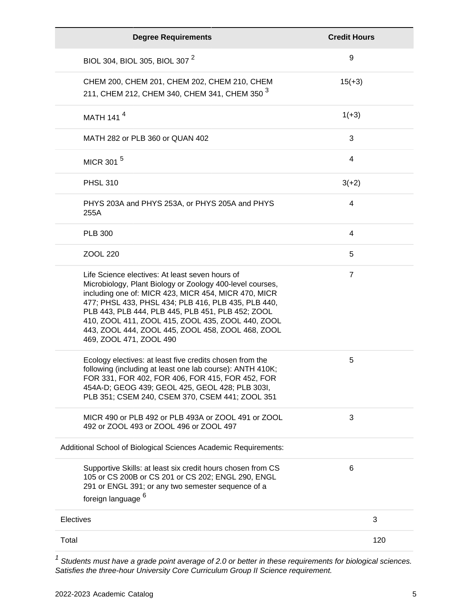| <b>Degree Requirements</b>                                                                                                                                                                                                                                                                                                                                                                                            | <b>Credit Hours</b> |
|-----------------------------------------------------------------------------------------------------------------------------------------------------------------------------------------------------------------------------------------------------------------------------------------------------------------------------------------------------------------------------------------------------------------------|---------------------|
| BIOL 304, BIOL 305, BIOL 307 <sup>2</sup>                                                                                                                                                                                                                                                                                                                                                                             | 9                   |
| CHEM 200, CHEM 201, CHEM 202, CHEM 210, CHEM<br>211, CHEM 212, CHEM 340, CHEM 341, CHEM 350 <sup>3</sup>                                                                                                                                                                                                                                                                                                              | $15(+3)$            |
| MATH 141 <sup>4</sup>                                                                                                                                                                                                                                                                                                                                                                                                 | $1(+3)$             |
| MATH 282 or PLB 360 or QUAN 402                                                                                                                                                                                                                                                                                                                                                                                       | 3                   |
| MICR 301 <sup>5</sup>                                                                                                                                                                                                                                                                                                                                                                                                 | 4                   |
| <b>PHSL 310</b>                                                                                                                                                                                                                                                                                                                                                                                                       | $3(+2)$             |
| PHYS 203A and PHYS 253A, or PHYS 205A and PHYS<br>255A                                                                                                                                                                                                                                                                                                                                                                | 4                   |
| <b>PLB 300</b>                                                                                                                                                                                                                                                                                                                                                                                                        | 4                   |
| ZOOL 220                                                                                                                                                                                                                                                                                                                                                                                                              | 5                   |
| Life Science electives: At least seven hours of<br>Microbiology, Plant Biology or Zoology 400-level courses,<br>including one of: MICR 423, MICR 454, MICR 470, MICR<br>477; PHSL 433, PHSL 434; PLB 416, PLB 435, PLB 440,<br>PLB 443, PLB 444, PLB 445, PLB 451, PLB 452; ZOOL<br>410, ZOOL 411, ZOOL 415, ZOOL 435, ZOOL 440, ZOOL<br>443, ZOOL 444, ZOOL 445, ZOOL 458, ZOOL 468, ZOOL<br>469, ZOOL 471, ZOOL 490 | $\overline{7}$      |
| Ecology electives: at least five credits chosen from the<br>following (including at least one lab course): ANTH 410K;<br>FOR 331, FOR 402, FOR 406, FOR 415, FOR 452, FOR<br>454A-D; GEOG 439; GEOL 425, GEOL 428; PLB 303I,<br>PLB 351; CSEM 240, CSEM 370, CSEM 441; ZOOL 351                                                                                                                                       | 5                   |
| MICR 490 or PLB 492 or PLB 493A or ZOOL 491 or ZOOL<br>492 or ZOOL 493 or ZOOL 496 or ZOOL 497                                                                                                                                                                                                                                                                                                                        | 3                   |
| Additional School of Biological Sciences Academic Requirements:                                                                                                                                                                                                                                                                                                                                                       |                     |
| Supportive Skills: at least six credit hours chosen from CS<br>105 or CS 200B or CS 201 or CS 202; ENGL 290, ENGL<br>291 or ENGL 391; or any two semester sequence of a<br>foreign language <sup>6</sup>                                                                                                                                                                                                              | 6                   |
| Electives                                                                                                                                                                                                                                                                                                                                                                                                             | 3                   |
| Total                                                                                                                                                                                                                                                                                                                                                                                                                 | 120                 |

 $1$  Students must have a grade point average of 2.0 or better in these requirements for biological sciences. Satisfies the three-hour University Core Curriculum Group II Science requirement.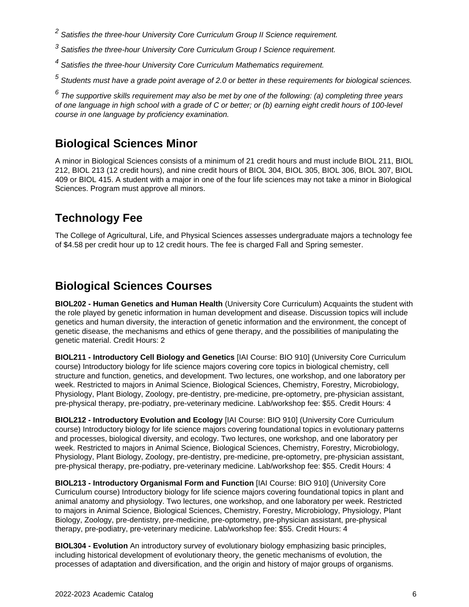<sup>2</sup> Satisfies the three-hour University Core Curriculum Group II Science requirement.

 $3$  Satisfies the three-hour University Core Curriculum Group I Science requirement.

<sup>4</sup> Satisfies the three-hour University Core Curriculum Mathematics requirement.

 $^5$  Students must have a grade point average of 2.0 or better in these requirements for biological sciences.

 $^6$  The supportive skills requirement may also be met by one of the following: (a) completing three years of one language in high school with a grade of C or better; or (b) earning eight credit hours of 100-level course in one language by proficiency examination.

### **Biological Sciences Minor**

A minor in Biological Sciences consists of a minimum of 21 credit hours and must include BIOL 211, BIOL 212, BIOL 213 (12 credit hours), and nine credit hours of BIOL 304, BIOL 305, BIOL 306, BIOL 307, BIOL 409 or BIOL 415. A student with a major in one of the four life sciences may not take a minor in Biological Sciences. Program must approve all minors.

### **Technology Fee**

The College of Agricultural, Life, and Physical Sciences assesses undergraduate majors a technology fee of \$4.58 per credit hour up to 12 credit hours. The fee is charged Fall and Spring semester.

### **Biological Sciences Courses**

**BIOL202 - Human Genetics and Human Health** (University Core Curriculum) Acquaints the student with the role played by genetic information in human development and disease. Discussion topics will include genetics and human diversity, the interaction of genetic information and the environment, the concept of genetic disease, the mechanisms and ethics of gene therapy, and the possibilities of manipulating the genetic material. Credit Hours: 2

**BIOL211 - Introductory Cell Biology and Genetics** [IAI Course: BIO 910] (University Core Curriculum course) Introductory biology for life science majors covering core topics in biological chemistry, cell structure and function, genetics, and development. Two lectures, one workshop, and one laboratory per week. Restricted to majors in Animal Science, Biological Sciences, Chemistry, Forestry, Microbiology, Physiology, Plant Biology, Zoology, pre-dentistry, pre-medicine, pre-optometry, pre-physician assistant, pre-physical therapy, pre-podiatry, pre-veterinary medicine. Lab/workshop fee: \$55. Credit Hours: 4

**BIOL212 - Introductory Evolution and Ecology** [IAI Course: BIO 910] (University Core Curriculum course) Introductory biology for life science majors covering foundational topics in evolutionary patterns and processes, biological diversity, and ecology. Two lectures, one workshop, and one laboratory per week. Restricted to majors in Animal Science, Biological Sciences, Chemistry, Forestry, Microbiology, Physiology, Plant Biology, Zoology, pre-dentistry, pre-medicine, pre-optometry, pre-physician assistant, pre-physical therapy, pre-podiatry, pre-veterinary medicine. Lab/workshop fee: \$55. Credit Hours: 4

**BIOL213 - Introductory Organismal Form and Function** [IAI Course: BIO 910] (University Core Curriculum course) Introductory biology for life science majors covering foundational topics in plant and animal anatomy and physiology. Two lectures, one workshop, and one laboratory per week. Restricted to majors in Animal Science, Biological Sciences, Chemistry, Forestry, Microbiology, Physiology, Plant Biology, Zoology, pre-dentistry, pre-medicine, pre-optometry, pre-physician assistant, pre-physical therapy, pre-podiatry, pre-veterinary medicine. Lab/workshop fee: \$55. Credit Hours: 4

**BIOL304 - Evolution** An introductory survey of evolutionary biology emphasizing basic principles, including historical development of evolutionary theory, the genetic mechanisms of evolution, the processes of adaptation and diversification, and the origin and history of major groups of organisms.